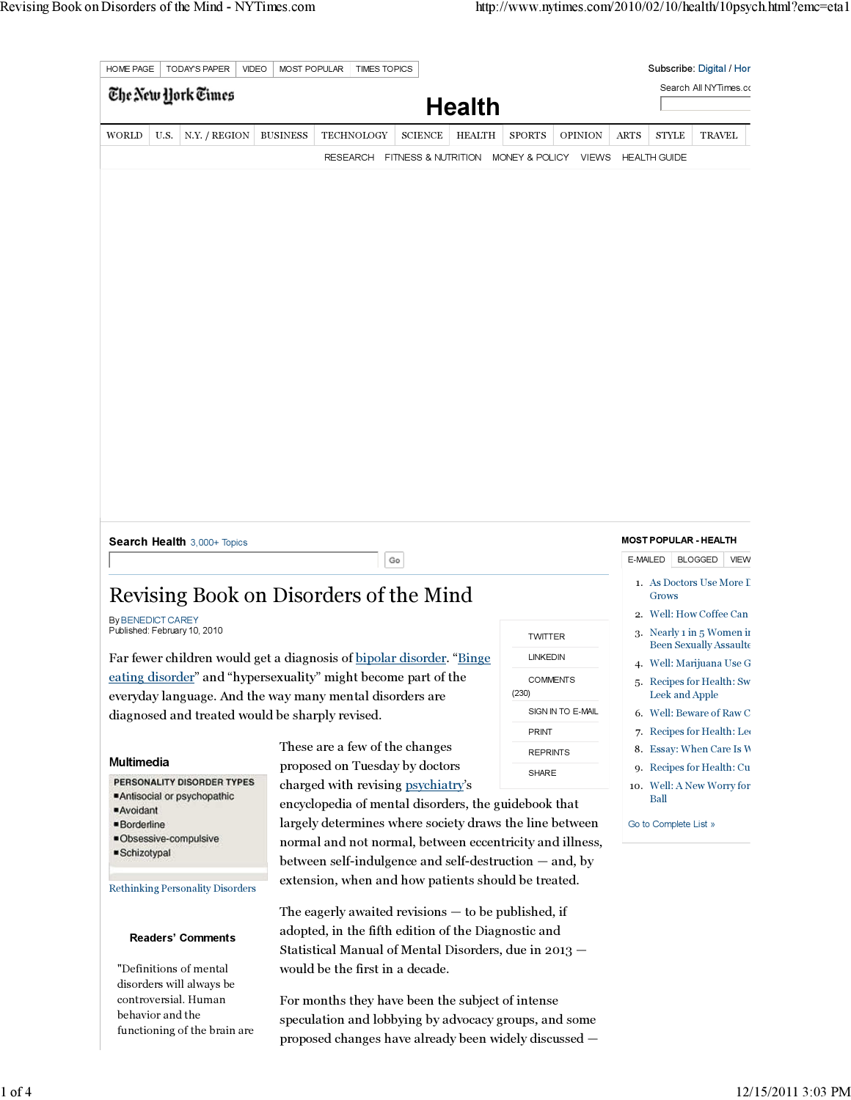| <b>TODAY'S PAPER</b><br><b>HOME PAGE</b><br><b>VIDEO</b>                                                                                                                                                                                                                                                                                                                                                                                                          | <b>MOST POPULAR</b>                                                                      | <b>TIMES TOPICS</b>          |                |               |                 |                      |             |                       | Subscribe: Digital / Hor                               |
|-------------------------------------------------------------------------------------------------------------------------------------------------------------------------------------------------------------------------------------------------------------------------------------------------------------------------------------------------------------------------------------------------------------------------------------------------------------------|------------------------------------------------------------------------------------------|------------------------------|----------------|---------------|-----------------|----------------------|-------------|-----------------------|--------------------------------------------------------|
| The New York Times                                                                                                                                                                                                                                                                                                                                                                                                                                                |                                                                                          |                              |                |               |                 |                      |             |                       | Search All NYTimes.co                                  |
|                                                                                                                                                                                                                                                                                                                                                                                                                                                                   |                                                                                          |                              |                | <b>Health</b> |                 |                      |             |                       |                                                        |
| <b>WORLD</b><br>U.S.<br>N.Y. / REGION                                                                                                                                                                                                                                                                                                                                                                                                                             | <b>BUSINESS</b>                                                                          | TECHNOLOGY                   | <b>SCIENCE</b> | <b>HEALTH</b> | <b>SPORTS</b>   | OPINION              | <b>ARTS</b> | <b>STYLE</b>          | <b>TRAVEL</b>                                          |
|                                                                                                                                                                                                                                                                                                                                                                                                                                                                   |                                                                                          | RESEARCH FITNESS & NUTRITION |                |               |                 | MONEY & POLICY VIEWS |             | HEALTH GUIDE          |                                                        |
|                                                                                                                                                                                                                                                                                                                                                                                                                                                                   |                                                                                          |                              |                |               |                 |                      |             |                       |                                                        |
|                                                                                                                                                                                                                                                                                                                                                                                                                                                                   |                                                                                          |                              |                |               |                 |                      |             |                       |                                                        |
|                                                                                                                                                                                                                                                                                                                                                                                                                                                                   |                                                                                          |                              |                |               |                 |                      |             |                       |                                                        |
|                                                                                                                                                                                                                                                                                                                                                                                                                                                                   |                                                                                          |                              |                |               |                 |                      |             |                       |                                                        |
|                                                                                                                                                                                                                                                                                                                                                                                                                                                                   |                                                                                          |                              |                |               |                 |                      |             |                       |                                                        |
|                                                                                                                                                                                                                                                                                                                                                                                                                                                                   |                                                                                          |                              |                |               |                 |                      |             |                       |                                                        |
|                                                                                                                                                                                                                                                                                                                                                                                                                                                                   |                                                                                          |                              |                |               |                 |                      |             |                       |                                                        |
|                                                                                                                                                                                                                                                                                                                                                                                                                                                                   |                                                                                          |                              |                |               |                 |                      |             |                       |                                                        |
|                                                                                                                                                                                                                                                                                                                                                                                                                                                                   |                                                                                          |                              |                |               |                 |                      |             |                       |                                                        |
|                                                                                                                                                                                                                                                                                                                                                                                                                                                                   |                                                                                          |                              |                |               |                 |                      |             |                       |                                                        |
|                                                                                                                                                                                                                                                                                                                                                                                                                                                                   |                                                                                          |                              |                |               |                 |                      |             |                       |                                                        |
|                                                                                                                                                                                                                                                                                                                                                                                                                                                                   |                                                                                          |                              |                |               |                 |                      |             |                       |                                                        |
|                                                                                                                                                                                                                                                                                                                                                                                                                                                                   |                                                                                          |                              |                |               |                 |                      |             |                       |                                                        |
|                                                                                                                                                                                                                                                                                                                                                                                                                                                                   |                                                                                          |                              |                |               |                 |                      |             |                       |                                                        |
|                                                                                                                                                                                                                                                                                                                                                                                                                                                                   |                                                                                          |                              |                |               |                 |                      |             |                       |                                                        |
|                                                                                                                                                                                                                                                                                                                                                                                                                                                                   |                                                                                          |                              |                |               |                 |                      |             |                       |                                                        |
|                                                                                                                                                                                                                                                                                                                                                                                                                                                                   |                                                                                          |                              |                |               |                 |                      |             |                       |                                                        |
|                                                                                                                                                                                                                                                                                                                                                                                                                                                                   |                                                                                          |                              |                |               |                 |                      |             |                       |                                                        |
|                                                                                                                                                                                                                                                                                                                                                                                                                                                                   |                                                                                          |                              |                |               |                 |                      |             |                       |                                                        |
|                                                                                                                                                                                                                                                                                                                                                                                                                                                                   |                                                                                          |                              |                |               |                 |                      |             |                       | <b>MOST POPULAR - HEALTH</b>                           |
|                                                                                                                                                                                                                                                                                                                                                                                                                                                                   |                                                                                          |                              | Go             |               |                 |                      | E-MAILED    |                       | <b>BLOGGED</b><br>VIEW                                 |
|                                                                                                                                                                                                                                                                                                                                                                                                                                                                   |                                                                                          |                              |                |               |                 |                      |             |                       | 1. As Doctors Use More I                               |
|                                                                                                                                                                                                                                                                                                                                                                                                                                                                   |                                                                                          |                              |                |               |                 |                      |             | <b>Grows</b>          |                                                        |
|                                                                                                                                                                                                                                                                                                                                                                                                                                                                   |                                                                                          |                              |                |               |                 |                      |             |                       | Well: How Coffee Can                                   |
|                                                                                                                                                                                                                                                                                                                                                                                                                                                                   |                                                                                          |                              |                |               | <b>TWITTER</b>  |                      |             |                       | 3. Nearly 1 in 5 Women in<br>Been Sexually Assaulte    |
|                                                                                                                                                                                                                                                                                                                                                                                                                                                                   |                                                                                          |                              |                |               | <b>LINKEDIN</b> |                      |             |                       | 4. Well: Marijuana Use G                               |
|                                                                                                                                                                                                                                                                                                                                                                                                                                                                   |                                                                                          |                              |                |               | <b>COMMENTS</b> |                      |             |                       | 5. Recipes for Health: Sw                              |
|                                                                                                                                                                                                                                                                                                                                                                                                                                                                   |                                                                                          |                              |                |               | (230)           |                      |             | Leek and Apple        |                                                        |
|                                                                                                                                                                                                                                                                                                                                                                                                                                                                   |                                                                                          |                              |                |               |                 | SIGN IN TO E-MAIL    | 6.          |                       | Well: Beware of Raw C                                  |
|                                                                                                                                                                                                                                                                                                                                                                                                                                                                   | These are a few of the changes                                                           |                              |                |               | <b>PRINT</b>    |                      | 7.          |                       | Recipes for Health: Lee                                |
|                                                                                                                                                                                                                                                                                                                                                                                                                                                                   |                                                                                          |                              |                |               | <b>REPRINTS</b> |                      | 8.          |                       | Essay: When Care Is W                                  |
|                                                                                                                                                                                                                                                                                                                                                                                                                                                                   | proposed on Tuesday by doctors<br>charged with revising psychiatry's                     |                              |                |               | <b>SHARE</b>    |                      |             |                       | 9. Recipes for Health: Cu<br>10. Well: A New Worry for |
|                                                                                                                                                                                                                                                                                                                                                                                                                                                                   | encyclopedia of mental disorders, the guidebook that                                     |                              |                |               |                 |                      |             | Ball                  |                                                        |
|                                                                                                                                                                                                                                                                                                                                                                                                                                                                   | largely determines where society draws the line between                                  |                              |                |               |                 |                      |             | Go to Complete List » |                                                        |
|                                                                                                                                                                                                                                                                                                                                                                                                                                                                   | normal and not normal, between eccentricity and illness,                                 |                              |                |               |                 |                      |             |                       |                                                        |
| PERSONALITY DISORDER TYPES<br>Avoidant<br>■Borderline<br>Obsessive-compulsive                                                                                                                                                                                                                                                                                                                                                                                     | between self-indulgence and self-destruction - and, by                                   |                              |                |               |                 |                      |             |                       |                                                        |
| Antisocial or psychopathic<br>Schizotypal                                                                                                                                                                                                                                                                                                                                                                                                                         | extension, when and how patients should be treated.                                      |                              |                |               |                 |                      |             |                       |                                                        |
|                                                                                                                                                                                                                                                                                                                                                                                                                                                                   |                                                                                          |                              |                |               |                 |                      |             |                       |                                                        |
| <b>Search Health</b> 3,000+ Topics<br>Revising Book on Disorders of the Mind<br><b>By BENEDICT CAREY</b><br>Published: February 10, 2010<br>Far fewer children would get a diagnosis of bipolar disorder. "Binge<br>eating disorder" and "hypersexuality" might become part of the<br>everyday language. And the way many mental disorders are<br>diagnosed and treated would be sharply revised.<br><b>Multimedia</b><br><b>Rethinking Personality Disorders</b> | The eagerly awaited revisions $-$ to be published, if                                    |                              |                |               |                 |                      |             |                       |                                                        |
| <b>Readers' Comments</b>                                                                                                                                                                                                                                                                                                                                                                                                                                          | adopted, in the fifth edition of the Diagnostic and                                      |                              |                |               |                 |                      |             |                       |                                                        |
| "Definitions of mental                                                                                                                                                                                                                                                                                                                                                                                                                                            | Statistical Manual of Mental Disorders, due in 2013 -<br>would be the first in a decade. |                              |                |               |                 |                      |             |                       |                                                        |

For months they have been the subject of intense speculation and lobbying by advocacy groups, and some proposed changes have already been widely discussed —

controversial. Human behavior and the

functioning of the brain are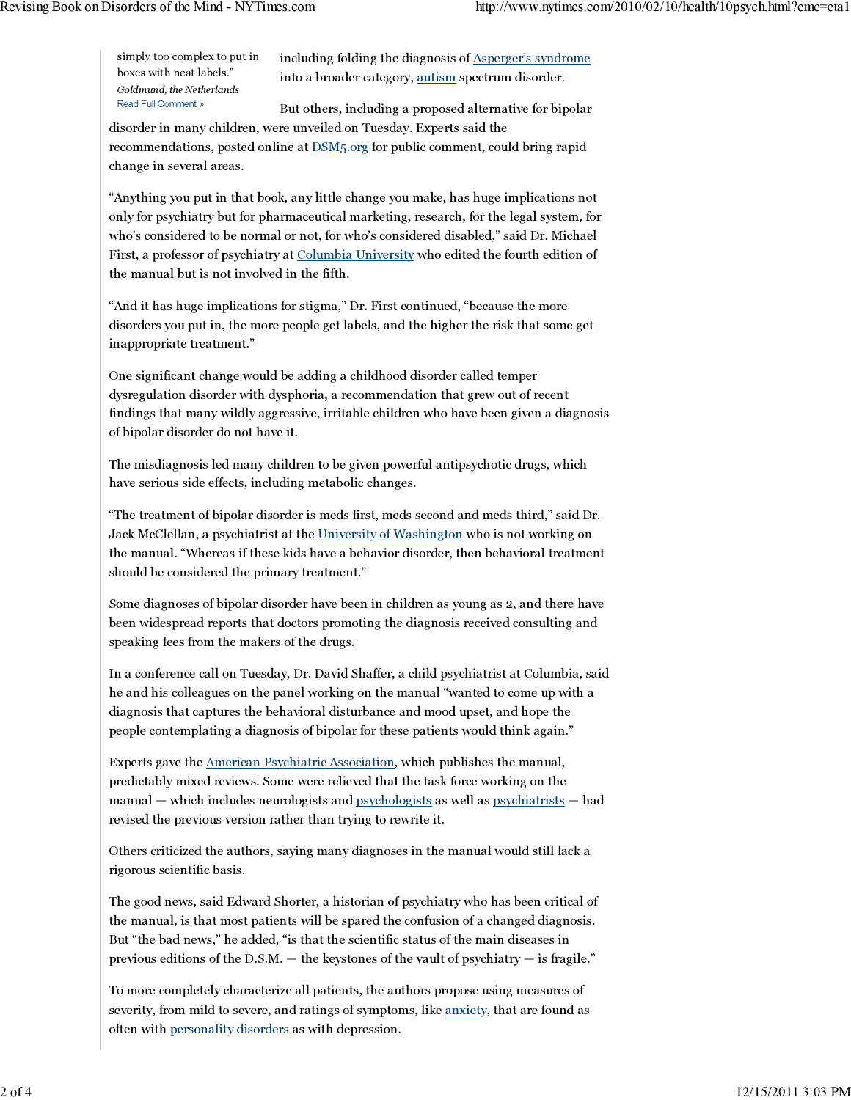simply too complex to put in boxes with neat labels." Goldmund, the Netherlands Read Full Comment »

including folding the diagnosis of Asperger's syndrome into a broader category, autism spectrum disorder.

But others, including a proposed alternative for bipolar disorder in many children, were unveiled on Tuesday. Experts said the recommendations, posted online at DSM5.org for public comment, could bring rapid change in several areas.

"Anything you put in that book, any little change you make, has huge implications not only for psychiatry but for pharmaceutical marketing, research, for the legal system, for who's considered to be normal or not, for who's considered disabled," said Dr. Michael First, a professor of psychiatry at Columbia University who edited the fourth edition of the manual but is not involved in the fifth.

"And it has huge implications for stigma," Dr. First continued, "because the more disorders you put in, the more people get labels, and the higher the risk that some get inappropriate treatment."

One significant change would be adding a childhood disorder called temper dysregulation disorder with dysphoria, a recommendation that grew out of recent findings that many wildly aggressive, irritable children who have been given a diagnosis of bipolar disorder do not have it.

The misdiagnosis led many children to be given powerful antipsychotic drugs, which have serious side effects, including metabolic changes.

"The treatment of bipolar disorder is meds first, meds second and meds third," said Dr. Jack McClellan, a psychiatrist at the University of Washington who is not working on the manual. "Whereas if these kids have a behavior disorder, then behavioral treatment should be considered the primary treatment."

Some diagnoses of bipolar disorder have been in children as young as 2, and there have been widespread reports that doctors promoting the diagnosis received consulting and speaking fees from the makers of the drugs.

In a conference call on Tuesday, Dr. David Shaffer, a child psychiatrist at Columbia, said he and his colleagues on the panel working on the manual "wanted to come up with a diagnosis that captures the behavioral disturbance and mood upset, and hope the people contemplating a diagnosis of bipolar for these patients would think again."

Experts gave the American Psychiatric Association, which publishes the manual, predictably mixed reviews. Some were relieved that the task force working on the manual — which includes neurologists and psychologists as well as psychiatrists — had revised the previous version rather than trying to rewrite it.

Others criticized the authors, saying many diagnoses in the manual would still lack a rigorous scientific basis.

The good news, said Edward Shorter, a historian of psychiatry who has been critical of the manual, is that most patients will be spared the confusion of a changed diagnosis. But "the bad news," he added, "is that the scientific status of the main diseases in previous editions of the D.S.M. — the keystones of the vault of psychiatry — is fragile."

To more completely characterize all patients, the authors propose using measures of severity, from mild to severe, and ratings of symptoms, like anxiety, that are found as often with personality disorders as with depression.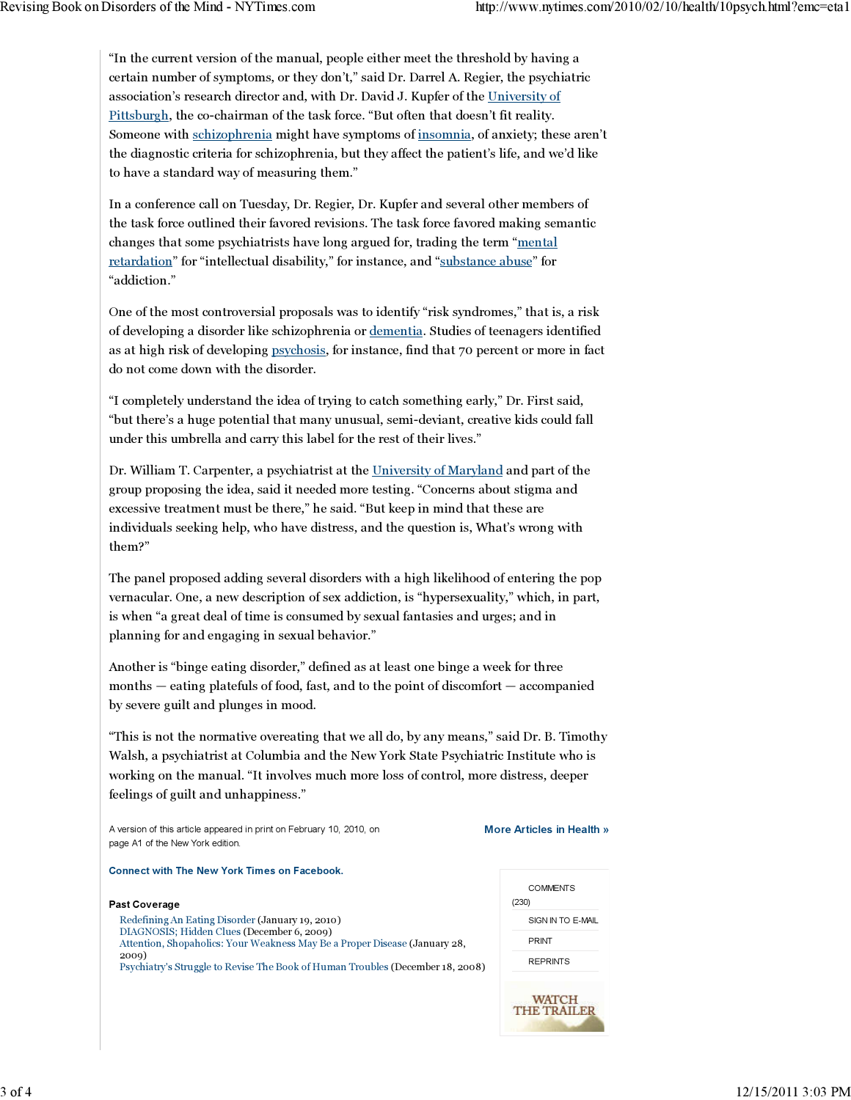"In the current version of the manual, people either meet the threshold by having a certain number of symptoms, or they don't," said Dr. Darrel A. Regier, the psychiatric association's research director and, with Dr. David J. Kupfer of the University of Pittsburgh, the co-chairman of the task force. "But often that doesn't fit reality. Someone with schizophrenia might have symptoms of insomnia, of anxiety; these aren't the diagnostic criteria for schizophrenia, but they affect the patient's life, and we'd like to have a standard way of measuring them."

In a conference call on Tuesday, Dr. Regier, Dr. Kupfer and several other members of the task force outlined their favored revisions. The task force favored making semantic changes that some psychiatrists have long argued for, trading the term "mental retardation" for "intellectual disability," for instance, and "substance abuse" for "addiction."

One of the most controversial proposals was to identify "risk syndromes," that is, a risk of developing a disorder like schizophrenia or dementia. Studies of teenagers identified as at high risk of developing psychosis, for instance, find that 70 percent or more in fact do not come down with the disorder.

"I completely understand the idea of trying to catch something early," Dr. First said, "but there's a huge potential that many unusual, semi-deviant, creative kids could fall under this umbrella and carry this label for the rest of their lives."

Dr. William T. Carpenter, a psychiatrist at the University of Maryland and part of the group proposing the idea, said it needed more testing. "Concerns about stigma and excessive treatment must be there," he said. "But keep in mind that these are individuals seeking help, who have distress, and the question is, What's wrong with them?"

The panel proposed adding several disorders with a high likelihood of entering the pop vernacular. One, a new description of sex addiction, is "hypersexuality," which, in part, is when "a great deal of time is consumed by sexual fantasies and urges; and in planning for and engaging in sexual behavior."

Another is "binge eating disorder," defined as at least one binge a week for three months — eating platefuls of food, fast, and to the point of discomfort — accompanied by severe guilt and plunges in mood.

"This is not the normative overeating that we all do, by any means," said Dr. B. Timothy Walsh, a psychiatrist at Columbia and the New York State Psychiatric Institute who is working on the manual. "It involves much more loss of control, more distress, deeper feelings of guilt and unhappiness."

A version of this article appeared in print on February 10, 2010, on More Articles in Health » page A1 of the New York edition.

| <b>Connect with The New York Times on Facebook.</b>                                                                      |                                    |
|--------------------------------------------------------------------------------------------------------------------------|------------------------------------|
| <b>Past Coverage</b>                                                                                                     | <b>COMMENTS</b><br>(230)           |
| Redefining An Eating Disorder (January 19, 2010)                                                                         | SIGN IN TO E-MAIL                  |
| DIAGNOSIS: Hidden Clues (December 6, 2009)<br>Attention, Shopaholics: Your Weakness May Be a Proper Disease (January 28, | <b>PRINT</b>                       |
| 2009)<br>Psychiatry's Struggle to Revise The Book of Human Troubles (December 18, 2008)                                  | <b>REPRINTS</b>                    |
|                                                                                                                          | <b>WATCH</b><br><b>THE TRAILER</b> |